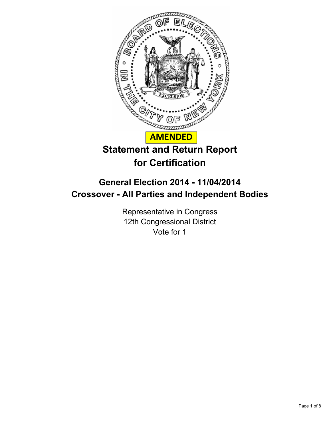

# **for Certification**

## **General Election 2014 - 11/04/2014 Crossover - All Parties and Independent Bodies**

Representative in Congress 12th Congressional District Vote for 1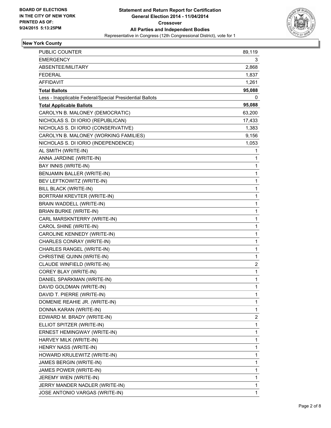

### **New York County**

| <b>PUBLIC COUNTER</b>                                    | 89,119 |
|----------------------------------------------------------|--------|
| <b>EMERGENCY</b>                                         | 3      |
| ABSENTEE/MILITARY                                        | 2,868  |
| <b>FEDERAL</b>                                           | 1,837  |
| <b>AFFIDAVIT</b>                                         | 1,261  |
| <b>Total Ballots</b>                                     | 95,088 |
| Less - Inapplicable Federal/Special Presidential Ballots | 0      |
| <b>Total Applicable Ballots</b>                          | 95,088 |
| CAROLYN B. MALONEY (DEMOCRATIC)                          | 63,200 |
| NICHOLAS S. DI IORIO (REPUBLICAN)                        | 17,433 |
| NICHOLAS S. DI IORIO (CONSERVATIVE)                      | 1,383  |
| CAROLYN B. MALONEY (WORKING FAMILIES)                    | 9,156  |
| NICHOLAS S. DI IORIO (INDEPENDENCE)                      | 1,053  |
| AL SMITH (WRITE-IN)                                      | 1      |
| ANNA JARDINE (WRITE-IN)                                  | 1      |
| BAY INNIS (WRITE-IN)                                     | 1      |
| BENJAMIN BALLER (WRITE-IN)                               | 1      |
| BEV LEFTKOWITZ (WRITE-IN)                                | 1      |
| BILL BLACK (WRITE-IN)                                    | 1      |
| BORTRAM KREVTER (WRITE-IN)                               | 1      |
| BRAIN WADDELL (WRITE-IN)                                 | 1      |
| <b>BRIAN BURKE (WRITE-IN)</b>                            | 1      |
| CARL MARSKNTERRY (WRITE-IN)                              | 1      |
| CAROL SHINE (WRITE-IN)                                   | 1      |
| CAROLINE KENNEDY (WRITE-IN)                              | 1      |
| CHARLES CONRAY (WRITE-IN)                                | 1      |
| CHARLES RANGEL (WRITE-IN)                                | 1      |
| CHRISTINE QUINN (WRITE-IN)                               | 1      |
| CLAUDE WINFIELD (WRITE-IN)                               | 2      |
| COREY BLAY (WRITE-IN)                                    | 1      |
| DANIEL SPARKMAN (WRITE-IN)                               | 1      |
| DAVID GOLDMAN (WRITE-IN)                                 | 1      |
| DAVID T. PIERRE (WRITE-IN)                               | 1      |
| DOMENIE REAHIE JR. (WRITE-IN)                            | 1      |
| DONNA KARAN (WRITE-IN)                                   | 1      |
| EDWARD M. BRADY (WRITE-IN)                               | 2      |
| ELLIOT SPITZER (WRITE-IN)                                | 1      |
| ERNEST HEMINGWAY (WRITE-IN)                              | 1      |
| HARVEY MILK (WRITE-IN)                                   | 1      |
| HENRY NASS (WRITE-IN)                                    | 1      |
| HOWARD KRULEWITZ (WRITE-IN)                              | 1      |
| JAMES BERGIN (WRITE-IN)                                  | 1      |
| JAMES POWER (WRITE-IN)                                   | 1      |
| JEREMY WIEN (WRITE-IN)                                   | 1      |
| JERRY MANDER NADLER (WRITE-IN)                           | 1      |
| JOSE ANTONIO VARGAS (WRITE-IN)                           | 1      |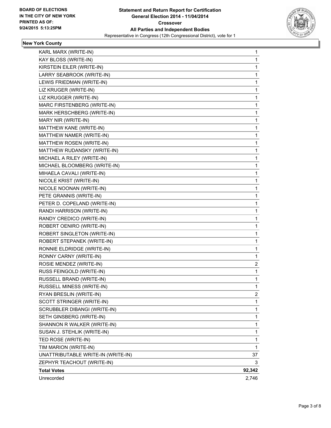

#### **New York County**

| KARL MARX (WRITE-IN)               | 1      |
|------------------------------------|--------|
| KAY BLOSS (WRITE-IN)               | 1      |
| KIRSTEIN EILER (WRITE-IN)          | 1      |
| LARRY SEABROOK (WRITE-IN)          | 1      |
| LEWIS FRIEDMAN (WRITE-IN)          | 1      |
| LIZ KRUGER (WRITE-IN)              | 1      |
| LIZ KRUGGER (WRITE-IN)             | 1      |
| MARC FIRSTENBERG (WRITE-IN)        | 1      |
| MARK HERSCHBERG (WRITE-IN)         | 1      |
| MARY NIR (WRITE-IN)                | 1      |
| MATTHEW KANE (WRITE-IN)            | 1      |
| MATTHEW NAMER (WRITE-IN)           | 1      |
| MATTHEW ROSEN (WRITE-IN)           | 1      |
| MATTHEW RUDANSKY (WRITE-IN)        | 1      |
| MICHAEL A RILEY (WRITE-IN)         | 1      |
| MICHAEL BLOOMBERG (WRITE-IN)       | 1      |
| MIHAELA CAVALI (WRITE-IN)          | 1      |
| NICOLE KRIST (WRITE-IN)            | 1      |
| NICOLE NOONAN (WRITE-IN)           | 1      |
| PETE GRANNIS (WRITE-IN)            | 1      |
| PETER D. COPELAND (WRITE-IN)       | 1      |
| RANDI HARRISON (WRITE-IN)          | 1      |
| RANDY CREDICO (WRITE-IN)           | 1      |
| ROBERT OENIRO (WRITE-IN)           | 1      |
| ROBERT SINGLETON (WRITE-IN)        | 1      |
| ROBERT STEPANEK (WRITE-IN)         | 1      |
| RONNIE ELDRIDGE (WRITE-IN)         | 1      |
| RONNY CARNY (WRITE-IN)             | 1      |
| ROSIE MENDEZ (WRITE-IN)            | 2      |
| RUSS FEINGOLD (WRITE-IN)           | 1      |
| RUSSELL BRAND (WRITE-IN)           | 1      |
| RUSSELL MINESS (WRITE-IN)          | 1      |
| RYAN BRESLIN (WRITE-IN)            | 2      |
| SCOTT STRINGER (WRITE-IN)          | 1      |
| SCRUBBLER DIBANGI (WRITE-IN)       | 1      |
| SETH GINSBERG (WRITE-IN)           | 1      |
| SHANNON R WALKER (WRITE-IN)        | 1      |
| SUSAN J. STEHLIK (WRITE-IN)        | 1      |
| TED ROSE (WRITE-IN)                | 1      |
| TIM MARION (WRITE-IN)              | 1      |
| UNATTRIBUTABLE WRITE-IN (WRITE-IN) | 37     |
| ZEPHYR TEACHOUT (WRITE-IN)         | 3      |
| <b>Total Votes</b>                 | 92,342 |
| Unrecorded                         | 2,746  |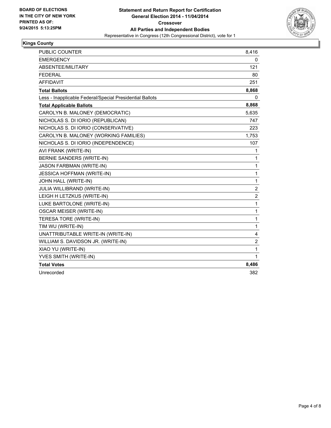

#### **Kings County**

| <b>PUBLIC COUNTER</b>                                    | 8,416            |
|----------------------------------------------------------|------------------|
| <b>EMERGENCY</b>                                         | 0                |
| ABSENTEE/MILITARY                                        | 121              |
| <b>FEDERAL</b>                                           | 80               |
| <b>AFFIDAVIT</b>                                         | 251              |
| <b>Total Ballots</b>                                     | 8,868            |
| Less - Inapplicable Federal/Special Presidential Ballots | 0                |
| <b>Total Applicable Ballots</b>                          | 8,868            |
| CAROLYN B. MALONEY (DEMOCRATIC)                          | 5,635            |
| NICHOLAS S. DI IORIO (REPUBLICAN)                        | 747              |
| NICHOLAS S. DI IORIO (CONSERVATIVE)                      | 223              |
| CAROLYN B. MALONEY (WORKING FAMILIES)                    | 1,753            |
| NICHOLAS S. DI IORIO (INDEPENDENCE)                      | 107              |
| AVI FRANK (WRITE-IN)                                     | $\mathbf{1}$     |
| <b>BERNIE SANDERS (WRITE-IN)</b>                         | $\mathbf{1}$     |
| JASON FARBMAN (WRITE-IN)                                 | $\mathbf{1}$     |
| <b>JESSICA HOFFMAN (WRITE-IN)</b>                        | 1                |
| JOHN HALL (WRITE-IN)                                     | 1                |
| <b>JULIA WILLIBRAND (WRITE-IN)</b>                       | $\boldsymbol{2}$ |
| LEIGH H LETZKUS (WRITE-IN)                               | 2                |
| LUKE BARTOLONE (WRITE-IN)                                | $\mathbf{1}$     |
| <b>OSCAR MEISER (WRITE-IN)</b>                           | $\mathbf{1}$     |
| TERESA TORE (WRITE-IN)                                   | $\mathbf{1}$     |
| TIM WU (WRITE-IN)                                        | $\mathbf{1}$     |
| UNATTRIBUTABLE WRITE-IN (WRITE-IN)                       | 4                |
| WILLIAM S. DAVIDSON JR. (WRITE-IN)                       | $\overline{2}$   |
| XIAO YU (WRITE-IN)                                       | $\mathbf{1}$     |
| YVES SMITH (WRITE-IN)                                    | 1                |
| <b>Total Votes</b>                                       | 8,486            |
| Unrecorded                                               | 382              |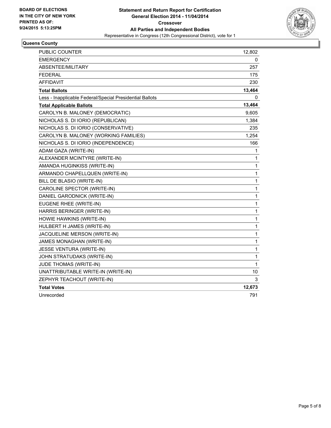

### **Queens County**

| PUBLIC COUNTER                                           | 12,802       |
|----------------------------------------------------------|--------------|
| <b>EMERGENCY</b>                                         | 0            |
| ABSENTEE/MILITARY                                        | 257          |
| <b>FEDERAL</b>                                           | 175          |
| <b>AFFIDAVIT</b>                                         | 230          |
| <b>Total Ballots</b>                                     | 13,464       |
| Less - Inapplicable Federal/Special Presidential Ballots | 0            |
| <b>Total Applicable Ballots</b>                          | 13,464       |
| CAROLYN B. MALONEY (DEMOCRATIC)                          | 9,605        |
| NICHOLAS S. DI IORIO (REPUBLICAN)                        | 1,384        |
| NICHOLAS S. DI IORIO (CONSERVATIVE)                      | 235          |
| CAROLYN B. MALONEY (WORKING FAMILIES)                    | 1,254        |
| NICHOLAS S. DI IORIO (INDEPENDENCE)                      | 166          |
| ADAM GAZA (WRITE-IN)                                     | 1            |
| ALEXANDER MCINTYRE (WRITE-IN)                            | 1            |
| AMANDA HUGINKISS (WRITE-IN)                              | $\mathbf{1}$ |
| ARMANDO CHAPELLQUEN (WRITE-IN)                           | $\mathbf 1$  |
| BILL DE BLASIO (WRITE-IN)                                | $\mathbf 1$  |
| CAROLINE SPECTOR (WRITE-IN)                              | 1            |
| DANIEL GARODNICK (WRITE-IN)                              | $\mathbf 1$  |
| EUGENE RHEE (WRITE-IN)                                   | 1            |
| HARRIS BERINGER (WRITE-IN)                               | 1            |
| HOWIE HAWKINS (WRITE-IN)                                 | $\mathbf 1$  |
| HULBERT H JAMES (WRITE-IN)                               | $\mathbf 1$  |
| JACQUELINE MERSON (WRITE-IN)                             | 1            |
| JAMES MONAGHAN (WRITE-IN)                                | $\mathbf{1}$ |
| JESSE VENTURA (WRITE-IN)                                 | 1            |
| JOHN STRATUDAKS (WRITE-IN)                               | $\mathbf{1}$ |
| JUDE THOMAS (WRITE-IN)                                   | $\mathbf{1}$ |
| UNATTRIBUTABLE WRITE-IN (WRITE-IN)                       | 10           |
| ZEPHYR TEACHOUT (WRITE-IN)                               | 3            |
| <b>Total Votes</b>                                       | 12,673       |
| Unrecorded                                               | 791          |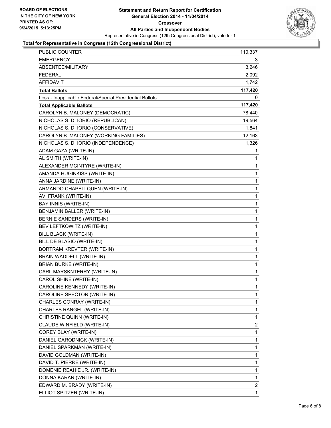

#### **Total for Representative in Congress (12th Congressional District)**

| PUBLIC COUNTER                                           | 110,337      |
|----------------------------------------------------------|--------------|
| <b>EMERGENCY</b>                                         | 3            |
| ABSENTEE/MILITARY                                        | 3,246        |
| <b>FEDERAL</b>                                           | 2,092        |
| <b>AFFIDAVIT</b>                                         | 1,742        |
| <b>Total Ballots</b>                                     | 117,420      |
| Less - Inapplicable Federal/Special Presidential Ballots | 0            |
| <b>Total Applicable Ballots</b>                          | 117,420      |
| CAROLYN B. MALONEY (DEMOCRATIC)                          | 78,440       |
| NICHOLAS S. DI IORIO (REPUBLICAN)                        | 19,564       |
| NICHOLAS S. DI IORIO (CONSERVATIVE)                      | 1,841        |
| CAROLYN B. MALONEY (WORKING FAMILIES)                    | 12,163       |
| NICHOLAS S. DI IORIO (INDEPENDENCE)                      | 1,326        |
| ADAM GAZA (WRITE-IN)                                     | 1            |
| AL SMITH (WRITE-IN)                                      | 1            |
| ALEXANDER MCINTYRE (WRITE-IN)                            | 1            |
| AMANDA HUGINKISS (WRITE-IN)                              | 1            |
| ANNA JARDINE (WRITE-IN)                                  | 1            |
| ARMANDO CHAPELLQUEN (WRITE-IN)                           | 1            |
| AVI FRANK (WRITE-IN)                                     | 1            |
| BAY INNIS (WRITE-IN)                                     | 1            |
| BENJAMIN BALLER (WRITE-IN)                               | 1            |
| BERNIE SANDERS (WRITE-IN)                                | 1            |
| BEV LEFTKOWITZ (WRITE-IN)                                | 1            |
| <b>BILL BLACK (WRITE-IN)</b>                             | 1            |
| BILL DE BLASIO (WRITE-IN)                                | 1            |
| BORTRAM KREVTER (WRITE-IN)                               | 1            |
| BRAIN WADDELL (WRITE-IN)                                 | 1            |
| <b>BRIAN BURKE (WRITE-IN)</b>                            | 1            |
| CARL MARSKNTERRY (WRITE-IN)                              | 1            |
| CAROL SHINE (WRITE-IN)                                   | 1            |
| CAROLINE KENNEDY (WRITE-IN)                              | $\mathbf{1}$ |
| CAROLINE SPECTOR (WRITE-IN)                              | 1            |
| CHARLES CONRAY (WRITE-IN)                                | 1            |
| CHARLES RANGEL (WRITE-IN)                                | 1            |
| CHRISTINE QUINN (WRITE-IN)                               | 1            |
| CLAUDE WINFIELD (WRITE-IN)                               | 2            |
| COREY BLAY (WRITE-IN)                                    | 1            |
| DANIEL GARODNICK (WRITE-IN)                              | 1            |
| DANIEL SPARKMAN (WRITE-IN)                               | 1            |
| DAVID GOLDMAN (WRITE-IN)                                 | 1            |
| DAVID T. PIERRE (WRITE-IN)                               | 1            |
| DOMENIE REAHIE JR. (WRITE-IN)                            | 1            |
| DONNA KARAN (WRITE-IN)                                   | 1            |
| EDWARD M. BRADY (WRITE-IN)                               | 2            |
| ELLIOT SPITZER (WRITE-IN)                                | 1            |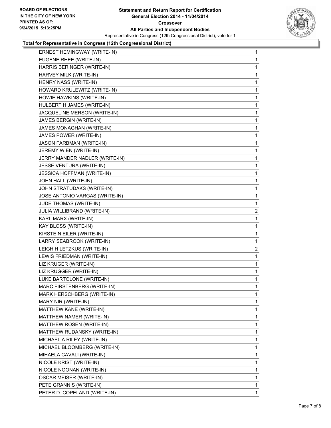

#### **Total for Representative in Congress (12th Congressional District)**

| ERNEST HEMINGWAY (WRITE-IN)       | 1              |
|-----------------------------------|----------------|
| EUGENE RHEE (WRITE-IN)            | 1              |
| HARRIS BERINGER (WRITE-IN)        | 1              |
| HARVEY MILK (WRITE-IN)            | 1              |
| HENRY NASS (WRITE-IN)             | 1              |
| HOWARD KRULEWITZ (WRITE-IN)       | 1              |
| HOWIE HAWKINS (WRITE-IN)          | 1              |
| HULBERT H JAMES (WRITE-IN)        | 1              |
| JACQUELINE MERSON (WRITE-IN)      | 1              |
| JAMES BERGIN (WRITE-IN)           | 1              |
| JAMES MONAGHAN (WRITE-IN)         | 1              |
| JAMES POWER (WRITE-IN)            | 1              |
| JASON FARBMAN (WRITE-IN)          | 1              |
| JEREMY WIEN (WRITE-IN)            | 1              |
| JERRY MANDER NADLER (WRITE-IN)    | 1              |
| JESSE VENTURA (WRITE-IN)          | 1              |
| <b>JESSICA HOFFMAN (WRITE-IN)</b> | 1              |
| JOHN HALL (WRITE-IN)              | 1              |
| JOHN STRATUDAKS (WRITE-IN)        | 1              |
| JOSE ANTONIO VARGAS (WRITE-IN)    | 1              |
| JUDE THOMAS (WRITE-IN)            | 1              |
| JULIA WILLIBRAND (WRITE-IN)       | $\overline{a}$ |
| KARL MARX (WRITE-IN)              | 1              |
| KAY BLOSS (WRITE-IN)              | 1              |
| KIRSTEIN EILER (WRITE-IN)         | 1              |
| LARRY SEABROOK (WRITE-IN)         | 1              |
| LEIGH H LETZKUS (WRITE-IN)        | $\overline{2}$ |
| LEWIS FRIEDMAN (WRITE-IN)         | 1              |
| LIZ KRUGER (WRITE-IN)             | 1              |
| LIZ KRUGGER (WRITE-IN)            | 1              |
| LUKE BARTOLONE (WRITE-IN)         | 1              |
| MARC FIRSTENBERG (WRITE-IN)       | 1              |
| MARK HERSCHBERG (WRITE-IN)        | 1              |
| MARY NIR (WRITE-IN)               | 1              |
| MATTHEW KANE (WRITE-IN)           | 1              |
| MATTHEW NAMER (WRITE-IN)          | 1              |
| MATTHEW ROSEN (WRITE-IN)          | 1              |
| MATTHEW RUDANSKY (WRITE-IN)       | 1              |
| MICHAEL A RILEY (WRITE-IN)        | 1              |
| MICHAEL BLOOMBERG (WRITE-IN)      | 1              |
| MIHAELA CAVALI (WRITE-IN)         | 1              |
| NICOLE KRIST (WRITE-IN)           | 1              |
| NICOLE NOONAN (WRITE-IN)          | 1              |
| <b>OSCAR MEISER (WRITE-IN)</b>    | 1              |
| PETE GRANNIS (WRITE-IN)           | 1              |
| PETER D. COPELAND (WRITE-IN)      | 1              |
|                                   |                |